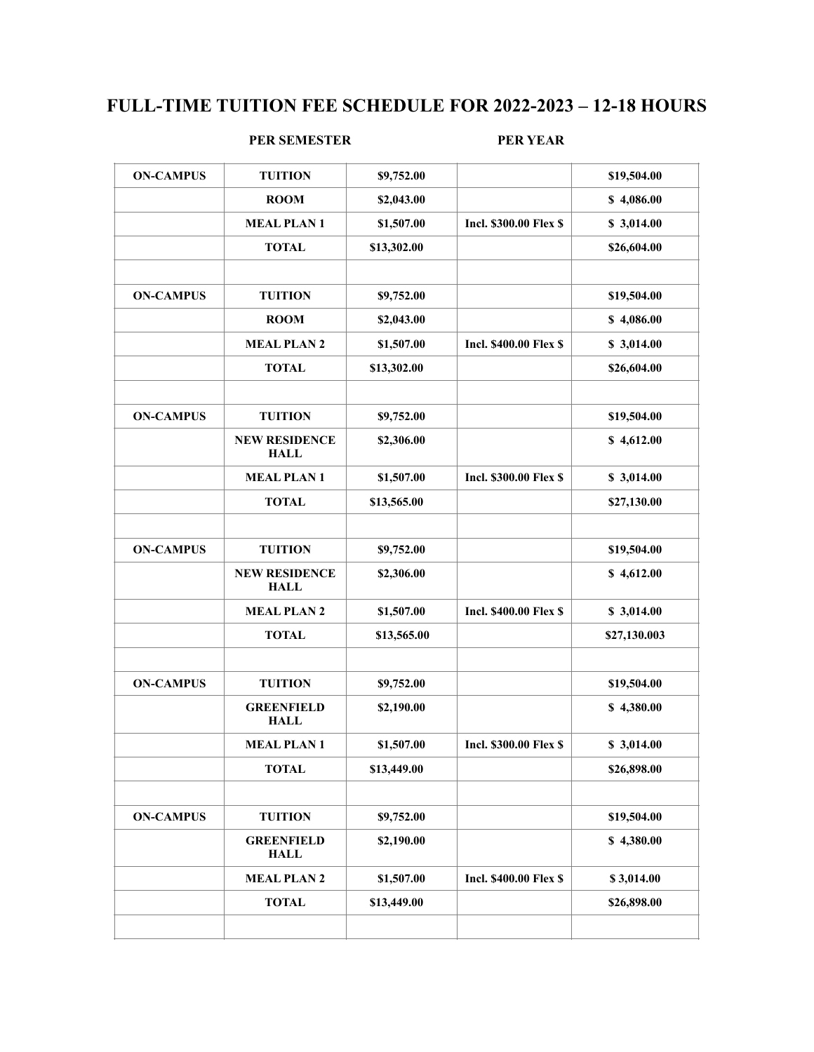## **FULL-TIME TUITION FEE SCHEDULE FOR 2022-2023 – 12-18 HOURS**

#### **PER SEMESTER PER YEAR**

| <b>ON-CAMPUS</b> | <b>TUITION</b>                      | \$9,752.00  |                               | \$19,504.00  |
|------------------|-------------------------------------|-------------|-------------------------------|--------------|
|                  | <b>ROOM</b>                         | \$2,043.00  |                               | \$4,086.00   |
|                  | <b>MEAL PLAN1</b>                   | \$1,507.00  | <b>Incl. \$300.00 Flex \$</b> | \$3,014.00   |
|                  | <b>TOTAL</b>                        | \$13,302.00 |                               | \$26,604.00  |
|                  |                                     |             |                               |              |
| <b>ON-CAMPUS</b> | <b>TUITION</b>                      | \$9,752.00  |                               | \$19,504.00  |
|                  | <b>ROOM</b>                         | \$2,043.00  |                               | \$4,086.00   |
|                  | <b>MEAL PLAN 2</b>                  | \$1,507.00  | <b>Incl. \$400.00 Flex \$</b> | \$3,014.00   |
|                  | <b>TOTAL</b>                        | \$13,302.00 |                               | \$26,604.00  |
| <b>ON-CAMPUS</b> | <b>TUITION</b>                      | \$9,752.00  |                               | \$19,504.00  |
|                  | <b>NEW RESIDENCE</b><br><b>HALL</b> | \$2,306.00  |                               | \$4,612.00   |
|                  | <b>MEAL PLAN1</b>                   | \$1,507.00  | <b>Incl. \$300.00 Flex \$</b> | \$3,014.00   |
|                  | <b>TOTAL</b>                        | \$13,565.00 |                               | \$27,130.00  |
| <b>ON-CAMPUS</b> | <b>TUITION</b>                      | \$9,752.00  |                               | \$19,504.00  |
|                  | <b>NEW RESIDENCE</b><br><b>HALL</b> | \$2,306.00  |                               | \$4,612.00   |
|                  | <b>MEAL PLAN 2</b>                  | \$1,507.00  | <b>Incl. \$400.00 Flex \$</b> | \$3,014.00   |
|                  | <b>TOTAL</b>                        | \$13,565.00 |                               | \$27,130.003 |
| <b>ON-CAMPUS</b> | <b>TUITION</b>                      | \$9,752.00  |                               | \$19,504.00  |
|                  | <b>GREENFIELD</b><br><b>HALL</b>    | \$2,190.00  |                               | \$4,380.00   |
|                  | <b>MEAL PLAN1</b>                   | \$1,507.00  | <b>Incl. \$300.00 Flex \$</b> | \$3,014.00   |
|                  | <b>TOTAL</b>                        | \$13,449.00 |                               | \$26,898.00  |
| <b>ON-CAMPUS</b> | <b>TUITION</b>                      | \$9,752.00  |                               | \$19,504.00  |
|                  | <b>GREENFIELD</b><br><b>HALL</b>    | \$2,190.00  |                               | \$4,380.00   |
|                  |                                     | \$1,507.00  | <b>Incl. \$400.00 Flex \$</b> | \$3,014.00   |
|                  | <b>MEAL PLAN 2</b>                  |             |                               |              |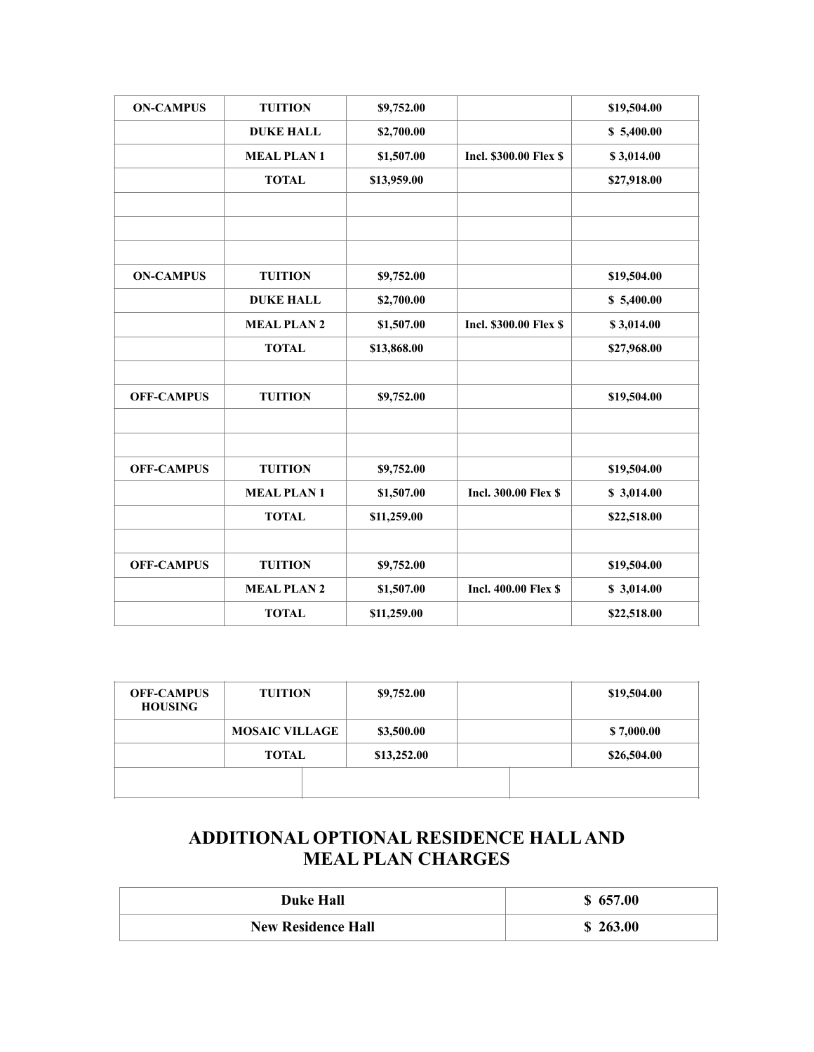| <b>ON-CAMPUS</b>  | <b>TUITION</b>     | \$9,752.00  |                               | \$19,504.00 |
|-------------------|--------------------|-------------|-------------------------------|-------------|
|                   | <b>DUKE HALL</b>   | \$2,700.00  |                               | \$5,400.00  |
|                   | <b>MEAL PLAN1</b>  | \$1,507.00  | <b>Incl. \$300.00 Flex \$</b> | \$3,014.00  |
|                   | <b>TOTAL</b>       | \$13,959.00 |                               | \$27,918.00 |
|                   |                    |             |                               |             |
|                   |                    |             |                               |             |
|                   |                    |             |                               |             |
| <b>ON-CAMPUS</b>  | <b>TUITION</b>     | \$9,752.00  |                               | \$19,504.00 |
|                   | <b>DUKE HALL</b>   | \$2,700.00  |                               | \$5,400.00  |
|                   | <b>MEAL PLAN 2</b> | \$1,507.00  | <b>Incl. \$300.00 Flex \$</b> | \$3,014.00  |
|                   | <b>TOTAL</b>       | \$13,868.00 |                               | \$27,968.00 |
|                   |                    |             |                               |             |
| <b>OFF-CAMPUS</b> | <b>TUITION</b>     | \$9,752.00  |                               | \$19,504.00 |
|                   |                    |             |                               |             |
|                   |                    |             |                               |             |
| <b>OFF-CAMPUS</b> | <b>TUITION</b>     | \$9,752.00  |                               | \$19,504.00 |
|                   | <b>MEAL PLAN1</b>  | \$1,507.00  | <b>Incl. 300.00 Flex \$</b>   | \$3,014.00  |
|                   | <b>TOTAL</b>       | \$11,259.00 |                               | \$22,518.00 |
|                   |                    |             |                               |             |
| <b>OFF-CAMPUS</b> | <b>TUITION</b>     | \$9,752.00  |                               | \$19,504.00 |
|                   | <b>MEAL PLAN 2</b> | \$1,507.00  | <b>Incl. 400.00 Flex \$</b>   | \$3,014.00  |
|                   | <b>TOTAL</b>       | \$11,259.00 |                               | \$22,518.00 |

| <b>OFF-CAMPUS</b><br><b>HOUSING</b> | <b>TUITION</b>        | \$9,752.00  |  | \$19,504.00 |
|-------------------------------------|-----------------------|-------------|--|-------------|
|                                     | <b>MOSAIC VILLAGE</b> | \$3,500.00  |  | \$7,000.00  |
|                                     | <b>TOTAL</b>          | \$13,252.00 |  | \$26,504.00 |
|                                     |                       |             |  |             |

# **ADDITIONAL OPTIONAL RESIDENCE HALL AND MEAL PLAN CHARGES**

| <b>Duke Hall</b>          | \$657.00 |
|---------------------------|----------|
| <b>New Residence Hall</b> | \$263.00 |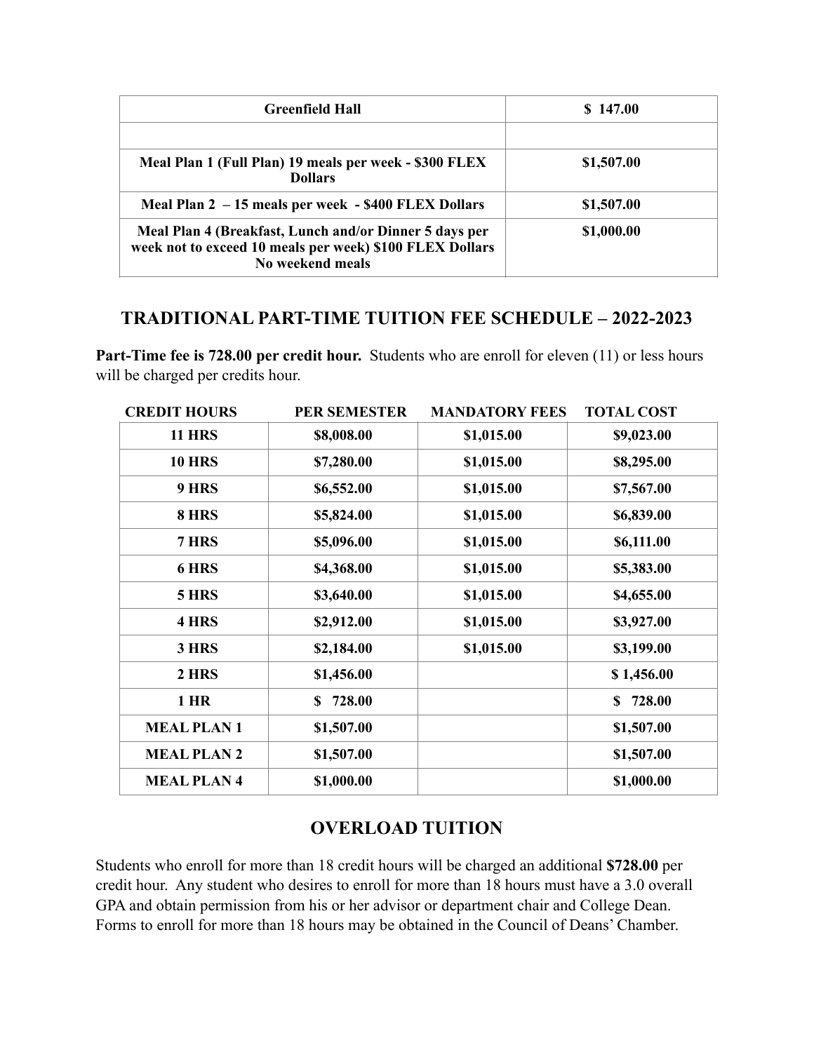| <b>Greenfield Hall</b>                                                                                                                 | \$147.00   |
|----------------------------------------------------------------------------------------------------------------------------------------|------------|
|                                                                                                                                        |            |
| Meal Plan 1 (Full Plan) 19 meals per week - \$300 FLEX<br><b>Dollars</b>                                                               | \$1,507.00 |
| Meal Plan 2 - 15 meals per week - \$400 FLEX Dollars                                                                                   | \$1,507.00 |
| Meal Plan 4 (Breakfast, Lunch and/or Dinner 5 days per<br>week not to exceed 10 meals per week) \$100 FLEX Dollars<br>No weekend meals | \$1,000.00 |

## **TRADITIONAL PART-TIME TUITION FEE SCHEDULE – 2022-2023**

Part-Time fee is 728.00 per credit hour. Students who are enroll for eleven (11) or less hours will be charged per credits hour.

| <b>CREDIT HOURS</b> | <b>PER SEMESTER</b> | <b>MANDATORY FEES</b> | <b>TOTAL COST</b> |
|---------------------|---------------------|-----------------------|-------------------|
| <b>11 HRS</b>       | \$8,008.00          | \$1,015.00            | \$9,023.00        |
| <b>10 HRS</b>       | \$7,280.00          | \$1,015.00            | \$8,295.00        |
| 9 HRS               | \$6,552.00          | \$1,015.00            | \$7,567.00        |
| 8 HRS               | \$5,824.00          | \$1,015.00            | \$6,839.00        |
| 7 HRS               | \$5,096.00          | \$1,015.00            | \$6,111.00        |
| 6 HRS               | \$4,368.00          | \$1,015.00            | \$5,383.00        |
| 5 HRS               | \$3,640.00          | \$1,015.00            | \$4,655.00        |
| 4 HRS               | \$2,912.00          | \$1,015.00            | \$3,927.00        |
| 3 HRS               | \$2,184.00          | \$1,015.00            | \$3,199.00        |
| 2 HRS               | \$1,456.00          |                       | \$1,456.00        |
| $1$ HR              | 728.00<br>S.        |                       | \$728.00          |
| <b>MEAL PLAN1</b>   | \$1,507.00          |                       | \$1,507.00        |
| <b>MEAL PLAN 2</b>  | \$1,507.00          |                       | \$1,507.00        |
| <b>MEAL PLAN4</b>   | \$1,000.00          |                       | \$1,000.00        |

# **OVERLOAD TUITION**

Students who enroll for more than 18 credit hours will be charged an additional **\$728.00** per credit hour. Any student who desires to enroll for more than 18 hours must have a 3.0 overall GPA and obtain permission from his or her advisor or department chair and College Dean. Forms to enroll for more than 18 hours may be obtained in the Council of Deans' Chamber.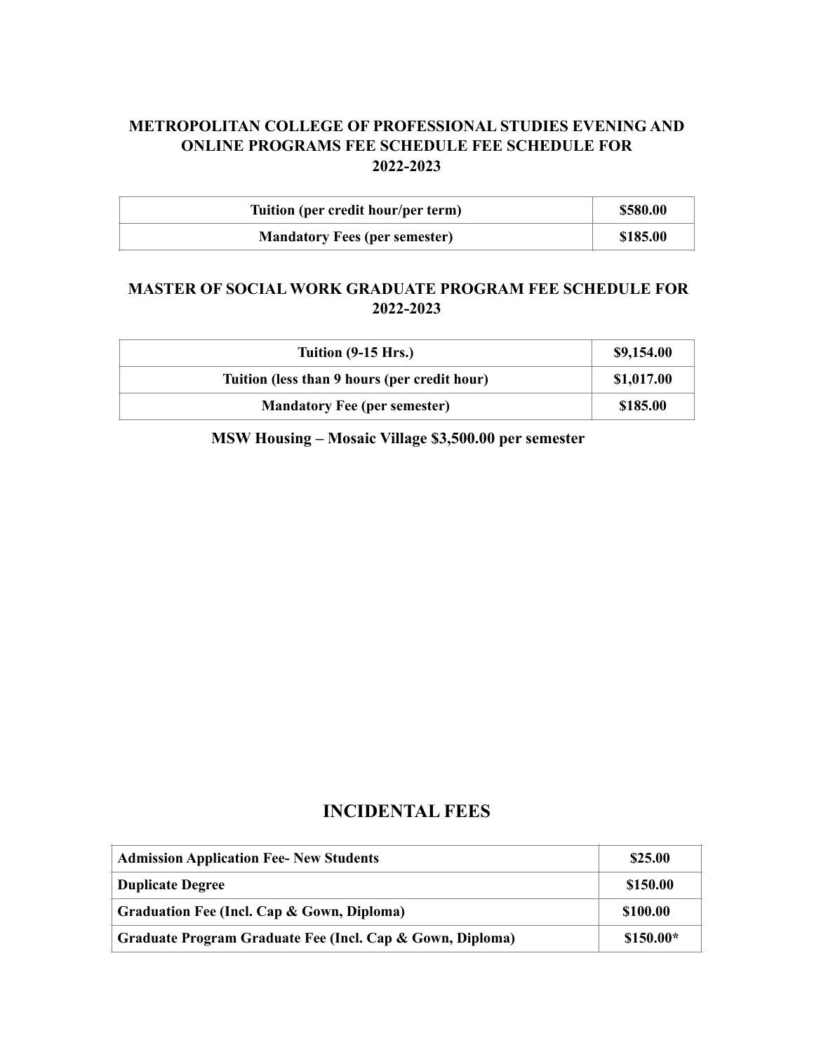### **METROPOLITAN COLLEGE OF PROFESSIONAL STUDIES EVENING AND ONLINE PROGRAMS FEE SCHEDULE FEE SCHEDULE FOR 2022-2023**

| Tuition (per credit hour/per term)   | \$580.00 |
|--------------------------------------|----------|
| <b>Mandatory Fees (per semester)</b> | \$185.00 |

#### **MASTER OF SOCIAL WORK GRADUATE PROGRAM FEE SCHEDULE FOR 2022-2023**

| Tuition (9-15 Hrs.)                          | \$9,154.00 |
|----------------------------------------------|------------|
| Tuition (less than 9 hours (per credit hour) | \$1,017.00 |
| <b>Mandatory Fee (per semester)</b>          | \$185.00   |

 **MSW Housing – Mosaic Village \$3,500.00 per semester**

#### **INCIDENTAL FEES**

| <b>Admission Application Fee- New Students</b>            | \$25.00    |
|-----------------------------------------------------------|------------|
| <b>Duplicate Degree</b>                                   | \$150.00   |
| Graduation Fee (Incl. Cap & Gown, Diploma)                | \$100.00   |
| Graduate Program Graduate Fee (Incl. Cap & Gown, Diploma) | $$150.00*$ |